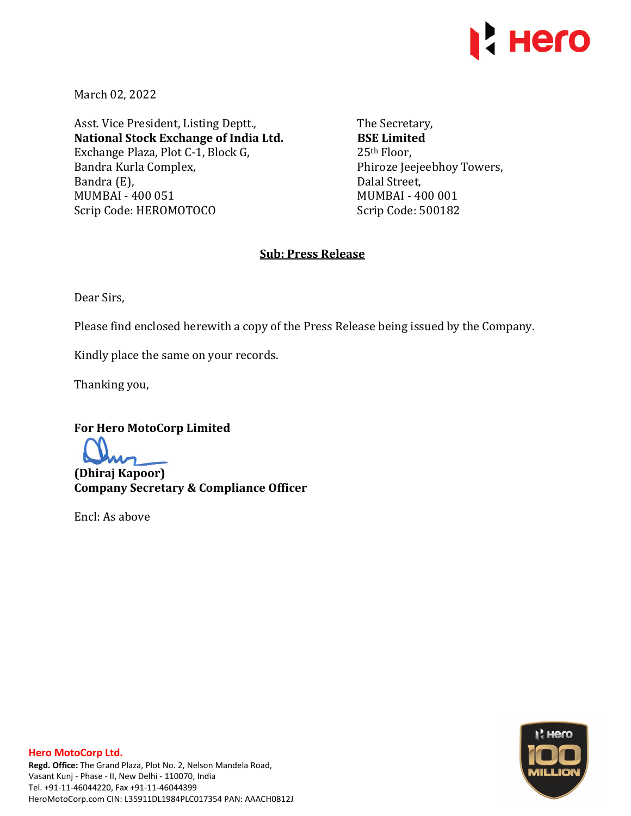

March 02, 2022

Asst. Vice President, Listing Deptt., **National Stock Exchange of India Ltd.**  Exchange Plaza, Plot C-1, Block G, Bandra Kurla Complex, Bandra (E), MUMBAI - 400 051 Scrip Code: HEROMOTOCO

The Secretary, **BSE Limited**  25th Floor, Phiroze Jeejeebhoy Towers, Dalal Street, MUMBAI - 400 001 Scrip Code: 500182

## **Sub: Press Release**

Dear Sirs,

Please find enclosed herewith a copy of the Press Release being issued by the Company.

Kindly place the same on your records.

Thanking you,

**For Hero MotoCorp Limited** 

**(Dhiraj Kapoor) Company Secretary & Compliance Officer** 

Encl: As above

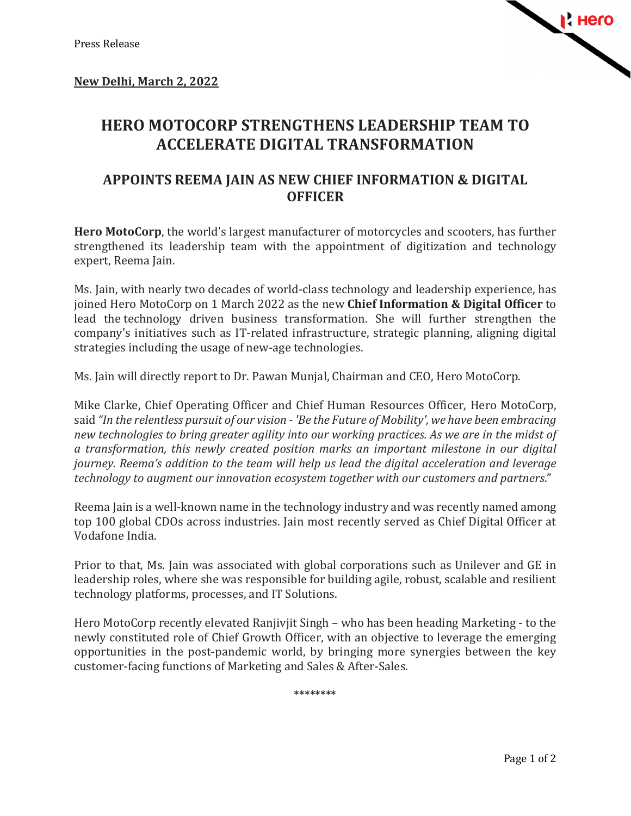

## **HERO MOTOCORP STRENGTHENS LEADERSHIP TEAM TO ACCELERATE DIGITAL TRANSFORMATION**

## **APPOINTS REEMA JAIN AS NEW CHIEF INFORMATION & DIGITAL OFFICER**

**Hero MotoCorp**, the world's largest manufacturer of motorcycles and scooters, has further strengthened its leadership team with the appointment of digitization and technology expert, Reema Jain.

Ms. Jain, with nearly two decades of world-class technology and leadership experience, has joined Hero MotoCorp on 1 March 2022 as the new **Chief Information & Digital Officer** to lead the technology driven business transformation. She will further strengthen the company's initiatives such as IT-related infrastructure, strategic planning, aligning digital strategies including the usage of new-age technologies.

Ms. Jain will directly report to Dr. Pawan Munjal, Chairman and CEO, Hero MotoCorp.

Mike Clarke, Chief Operating Officer and Chief Human Resources Officer, Hero MotoCorp, said *"In the relentless pursuit of our vision - 'Be the Future of Mobility', we have been embracing new technologies to bring greater agility into our working practices. As we are in the midst of a transformation, this newly created position marks an important milestone in our digital journey. Reema's addition to the team will help us lead the digital acceleration and leverage technology to augment our innovation ecosystem together with our customers and partners*."

Reema Jain is a well-known name in the technology industry and was recently named among top 100 global CDOs across industries. Jain most recently served as Chief Digital Officer at Vodafone India.

Prior to that, Ms. Jain was associated with global corporations such as Unilever and GE in leadership roles, where she was responsible for building agile, robust, scalable and resilient technology platforms, processes, and IT Solutions.

Hero MotoCorp recently elevated Ranjivjit Singh – who has been heading Marketing - to the newly constituted role of Chief Growth Officer, with an objective to leverage the emerging opportunities in the post-pandemic world, by bringing more synergies between the key customer-facing functions of Marketing and Sales & After-Sales.

\*\*\*\*\*\*\*\*